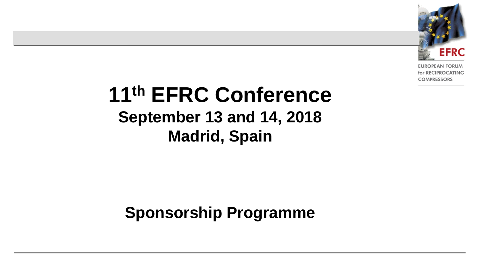

**EUROPEAN FORUM** for RECIPROCATING **COMPRESSORS** 

# **11th EFRC Conference September 13 and 14, 2018 Madrid, Spain**

#### **Sponsorship Programme**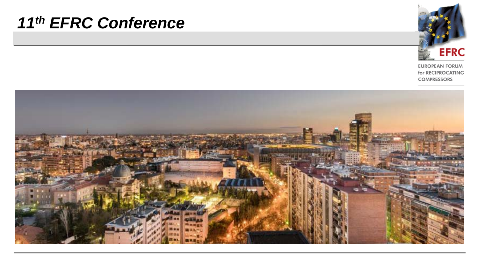

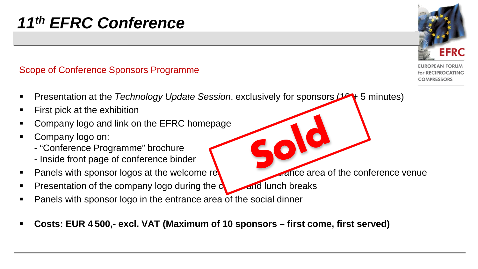#### Scope of Conference Sponsors Programme

- Presentation at the *Technology Update Session*, exclusively for sponsors (14 + 5 minutes)
- First pick at the exhibition
- Company logo and link on the EFRC homepage
- Company logo on:
	- "Conference Programme" brochure
	- Inside front page of conference binder
- Panels with sponsor logos at the welcome reception and entrance area of the conference venue
- Presentation of the company logo during the  $c_1$  and lunch breaks
- Panels with sponsor logo in the entrance area of the social dinner
- **Costs: EUR 4 500,- excl. VAT (Maximum of 10 sponsors – first come, first served)**

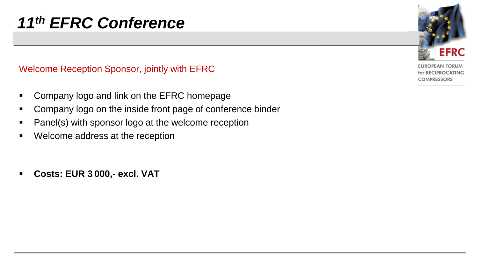Welcome Reception Sponsor, jointly with EFRC

- **Company logo and link on the EFRC homepage**
- Company logo on the inside front page of conference binder
- Panel(s) with sponsor logo at the welcome reception
- Welcome address at the reception
- **Costs: EUR 3 000,- excl. VAT**

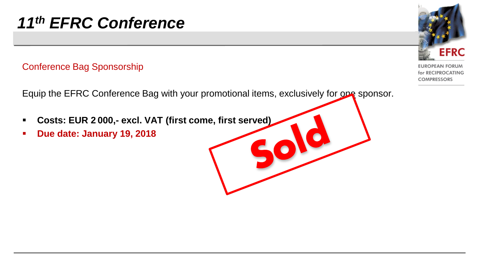#### Conference Bag Sponsorship

Equip the EFRC Conference Bag with your promotional items, exclusively for one sponsor.

- **Costs: EUR 2 000,- excl. VAT (first come, first served)**
- **Due date: January 19, 2018**

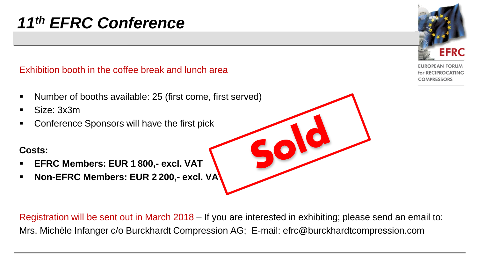Exhibition booth in the coffee break and lunch area

- Number of booths available: 25 (first come, first served)
- Size: 3x3m
- Conference Sponsors will have the first pick

#### **Costs:**

- **EFRC Members: EUR 1 800,- excl. VAT**
- **Non-EFRC Members: EUR 2 200,- excl. VAT**

Registration will be sent out in March 2018 – If you are interested in exhibiting; please send an email to: Mrs. Michèle Infanger c/o Burckhardt Compression AG; E-mail: efrc@burckhardtcompression.com

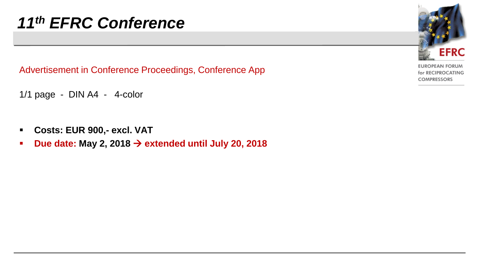Advertisement in Conference Proceedings, Conference App

1/1 page - DIN A4 - 4-color

- **Costs: EUR 900,- excl. VAT**
- **P** Due date: May 2, 2018  $\rightarrow$  extended until July 20, 2018